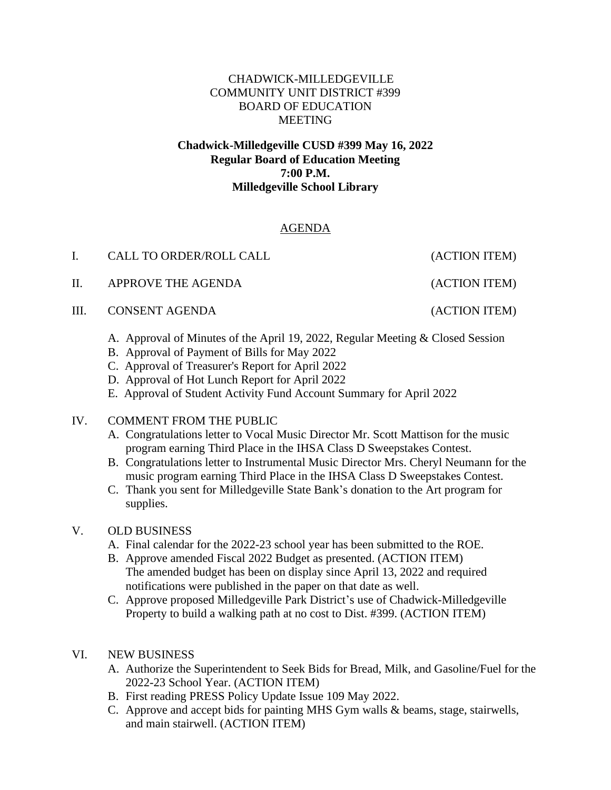### CHADWICK-MILLEDGEVILLE COMMUNITY UNIT DISTRICT #399 BOARD OF EDUCATION MEETING

#### **Chadwick-Milledgeville CUSD #399 May 16, 2022 Regular Board of Education Meeting 7:00 P.M. Milledgeville School Library**

# AGENDA

| $\mathbf{L}$ | CALL TO ORDER/ROLL CALL | (ACTION ITEM) |
|--------------|-------------------------|---------------|
|              | II. APPROVE THE AGENDA  | (ACTION ITEM) |
|              | III. CONSENT AGENDA     | (ACTION ITEM) |
|              |                         |               |

- A. Approval of Minutes of the April 19, 2022, Regular Meeting & Closed Session
- B. Approval of Payment of Bills for May 2022
- C. Approval of Treasurer's Report for April 2022
- D. Approval of Hot Lunch Report for April 2022
- E. Approval of Student Activity Fund Account Summary for April 2022

# IV. COMMENT FROM THE PUBLIC

- A. Congratulations letter to Vocal Music Director Mr. Scott Mattison for the music program earning Third Place in the IHSA Class D Sweepstakes Contest.
- B. Congratulations letter to Instrumental Music Director Mrs. Cheryl Neumann for the music program earning Third Place in the IHSA Class D Sweepstakes Contest.
- C. Thank you sent for Milledgeville State Bank's donation to the Art program for supplies.

# V. OLD BUSINESS

- A. Final calendar for the 2022-23 school year has been submitted to the ROE.
- B. Approve amended Fiscal 2022 Budget as presented. (ACTION ITEM) The amended budget has been on display since April 13, 2022 and required notifications were published in the paper on that date as well.
- C. Approve proposed Milledgeville Park District's use of Chadwick-Milledgeville Property to build a walking path at no cost to Dist. #399. (ACTION ITEM)
- VI. NEW BUSINESS
	- A. Authorize the Superintendent to Seek Bids for Bread, Milk, and Gasoline/Fuel for the 2022-23 School Year. (ACTION ITEM)
	- B. First reading PRESS Policy Update Issue 109 May 2022.
	- C. Approve and accept bids for painting MHS Gym walls & beams, stage, stairwells, and main stairwell. (ACTION ITEM)